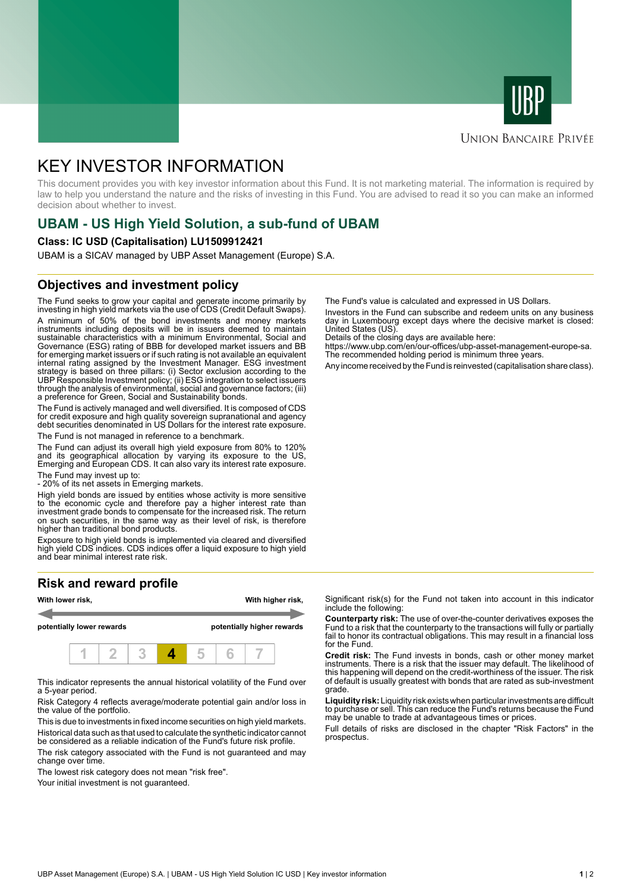



## **UNION BANCAIRE PRIVÉE**

# KEY INVESTOR INFORMATION

This document provides you with key investor information about this Fund. It is not marketing material. The information is required by law to help you understand the nature and the risks of investing in this Fund. You are advised to read it so you can make an informed decision about whether to invest.

# **UBAM - US High Yield Solution, a sub-fund of UBAM**

#### **Class: IC USD (Capitalisation) LU1509912421**

UBAM is a SICAV managed by UBP Asset Management (Europe) S.A.

## **Objectives and investment policy**

The Fund seeks to grow your capital and generate income primarily by investing in high yield markets via the use of CDS (Credit Default Swaps). A minimum of 50% of the bond investments and money markets instruments including deposits will be in issuers deemed to maintain sustainable characteristics with a minimum Environmental, Social and Governance (ESG) rating of BBB for developed market issuers and BB for emerging market issuers or if such rating is not available an equivalent internal rating assigned by the Investment Manager. ESG investment strategy is based on three pillars: (i) Sector exclusion according to the UBP Responsible Investment policy; (ii) ESG integration to select issuers through the analysis of environmental, social and governance factors; (iii) a preference for Green, Social and Sustainability bonds.

The Fund is actively managed and well diversified. It is composed of CDS for credit exposure and high quality sovereign supranational and agency debt securities denominated in US Dollars for the interest rate exposure. The Fund is not managed in reference to a benchmark.

The Fund can adjust its overall high yield exposure from 80% to 120% and its geographical allocation by varying its exposure to the US, Emerging and European CDS. It can also vary its interest rate exposure.

The Fund may invest up to:

- 20% of its net assets in Emerging markets.

High yield bonds are issued by entities whose activity is more sensitive to the economic cycle and therefore pay a higher interest rate than investment grade bonds to compensate for the increased risk. The return on such securities, in the same way as their level of risk, is therefore higher than traditional bond products.

Exposure to high yield bonds is implemented via cleared and diversified high yield CDS indices. CDS indices offer a liquid exposure to high yield and bear minimal interest rate risk.

# **Risk and reward profile**



This indicator represents the annual historical volatility of the Fund over a 5-year period.

Risk Category 4 reflects average/moderate potential gain and/or loss in the value of the portfolio.

This is due to investments in fixed income securities on high yield markets. Historical data such as that used to calculate the synthetic indicator cannot be considered as a reliable indication of the Fund's future risk profile. The risk category associated with the Fund is not guaranteed and may

change over time. The lowest risk category does not mean "risk free".

Your initial investment is not guaranteed.

The Fund's value is calculated and expressed in US Dollars.

Investors in the Fund can subscribe and redeem units on any business day in Luxembourg except days where the decisive market is closed: United States (US).

Details of the closing days are available here:

https://www.ubp.com/en/our-offices/ubp-asset-management-europe-sa. The recommended holding period is minimum three years.

Any income received by the Fund is reinvested (capitalisation share class).

Significant risk(s) for the Fund not taken into account in this indicator include the following:

**Counterparty risk:** The use of over-the-counter derivatives exposes the Fund to a risk that the counterparty to the transactions will fully or partially fail to honor its contractual obligations. This may result in a financial loss for the Fund.

**Credit risk:** The Fund invests in bonds, cash or other money market instruments. There is a risk that the issuer may default. The likelihood of this happening will depend on the credit-worthiness of the issuer. The risk of default is usually greatest with bonds that are rated as sub-investment grade.

**Liquidity risk:** Liquidity risk exists when particular investments are difficult to purchase or sell. This can reduce the Fund's returns because the Fund may be unable to trade at advantageous times or prices.

Full details of risks are disclosed in the chapter "Risk Factors" in the prospectus.